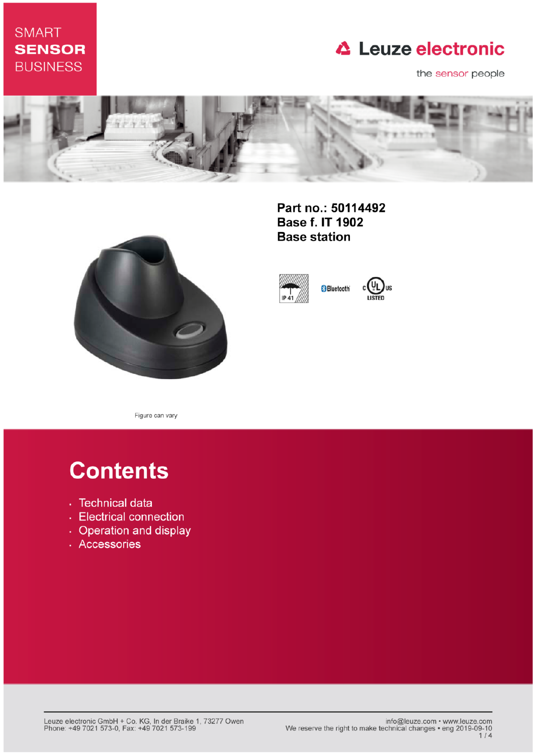## **SMART SENSOR BUSINESS**

## **△ Leuze electronic**

the sensor people





Part no.: 50114492 **Base f. IT 1902 Base station** 





Figure can vary

# **Contents**

- · Technical data
- Electrical connection
- Operation and display
- · Accessories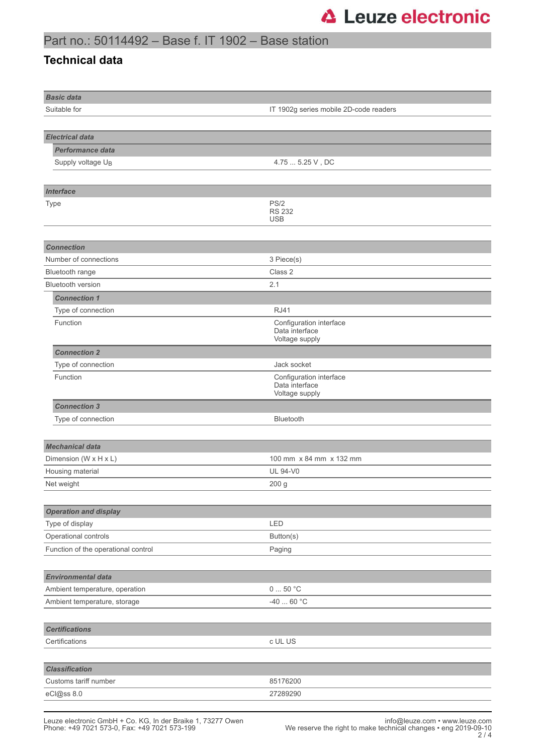#### Part no.: 50114492 – Base f. IT 1902 – Base station

#### **Technical data**

| <b>Basic data</b>                                      |                                  |  |  |
|--------------------------------------------------------|----------------------------------|--|--|
| Suitable for<br>IT 1902g series mobile 2D-code readers |                                  |  |  |
|                                                        |                                  |  |  |
| <b>Electrical data</b>                                 |                                  |  |  |
| <b>Performance data</b>                                |                                  |  |  |
| Supply voltage UB                                      | 4.75  5.25 V, DC                 |  |  |
|                                                        |                                  |  |  |
| Interface                                              |                                  |  |  |
| Type                                                   | PS/2                             |  |  |
|                                                        | <b>RS 232</b><br><b>USB</b>      |  |  |
|                                                        |                                  |  |  |
| <b>Connection</b>                                      |                                  |  |  |
| Number of connections                                  | 3 Piece(s)                       |  |  |
| Bluetooth range                                        | Class 2                          |  |  |
| <b>Bluetooth version</b>                               | 2.1                              |  |  |
| <b>Connection 1</b>                                    |                                  |  |  |
| Type of connection                                     | <b>RJ41</b>                      |  |  |
| Function                                               | Configuration interface          |  |  |
|                                                        | Data interface<br>Voltage supply |  |  |
| <b>Connection 2</b>                                    |                                  |  |  |
| Type of connection                                     | Jack socket                      |  |  |
| Function                                               | Configuration interface          |  |  |
|                                                        | Data interface<br>Voltage supply |  |  |
| <b>Connection 3</b>                                    |                                  |  |  |
| Type of connection                                     | Bluetooth                        |  |  |
|                                                        |                                  |  |  |
| <b>Mechanical data</b>                                 |                                  |  |  |
| Dimension (W x H x L)                                  | 100 mm x 84 mm x 132 mm          |  |  |
| Housing material                                       | <b>UL 94-V0</b>                  |  |  |
| Net weight                                             | 200 g                            |  |  |
|                                                        |                                  |  |  |
| <b>Operation and display</b>                           |                                  |  |  |
| Type of display                                        | LED                              |  |  |
| Operational controls                                   | Button(s)                        |  |  |
| Function of the operational control                    | Paging                           |  |  |
|                                                        |                                  |  |  |
| <b>Environmental data</b>                              |                                  |  |  |
| Ambient temperature, operation                         | 050 °C                           |  |  |
| Ambient temperature, storage                           | $-4060 °C$                       |  |  |
|                                                        |                                  |  |  |
| <b>Certifications</b>                                  |                                  |  |  |
| Certifications                                         | c UL US                          |  |  |
|                                                        |                                  |  |  |
| <b>Classification</b>                                  |                                  |  |  |
| Customs tariff number                                  | 85176200                         |  |  |
| eCl@ss 8.0                                             | 27289290                         |  |  |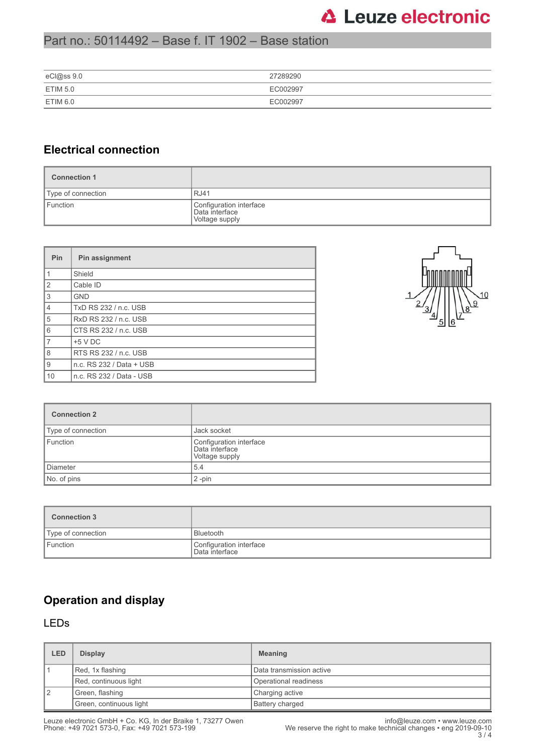## **△ Leuze electronic**

#### Part no.: 50114492 – Base f. IT 1902 – Base station

| eCl@ss 9.0      | 27289290 |
|-----------------|----------|
| <b>ETIM 5.0</b> | EC002997 |
| ETIM 6.0        | EC002997 |

#### **Electrical connection**

| <b>Connection 1</b>       |                                                             |
|---------------------------|-------------------------------------------------------------|
| <i>Type of connection</i> | <b>RJ41</b>                                                 |
| Function                  | Configuration interface<br>Data interface<br>Voltage supply |

| Pin            | Pin assignment           |
|----------------|--------------------------|
| $\mathbf{1}$   | Shield                   |
| $\overline{2}$ | Cable ID                 |
| 3              | <b>GND</b>               |
| $\overline{4}$ | TxD RS 232 / n.c. USB    |
| 5              | RxD RS 232 / n.c. USB    |
| 6              | CTS RS 232 / n.c. USB    |
| $\overline{7}$ | $+5$ V DC                |
| 8              | RTS RS 232 / n.c. USB    |
| 9              | n.c. RS 232 / Data + USB |
| 10             | n.c. RS 232 / Data - USB |



| <b>Connection 2</b> |                                                             |
|---------------------|-------------------------------------------------------------|
| Type of connection  | Jack socket                                                 |
| Function            | Configuration interface<br>Data interface<br>Voltage supply |
| Diameter            | 5.4                                                         |
| No. of pins         | $2$ -pin                                                    |

| <b>Connection 3</b> |                                           |
|---------------------|-------------------------------------------|
| Type of connection  | <b>Bluetooth</b>                          |
| Function            | Configuration interface<br>Data interface |

### **Operation and display**

#### LEDs

| LED | <b>Display</b>          | <b>Meaning</b>           |
|-----|-------------------------|--------------------------|
|     | Red, 1x flashing        | Data transmission active |
|     | Red, continuous light   | Operational readiness    |
| 12  | Green, flashing         | Charging active          |
|     | Green, continuous light | <b>Battery charged</b>   |